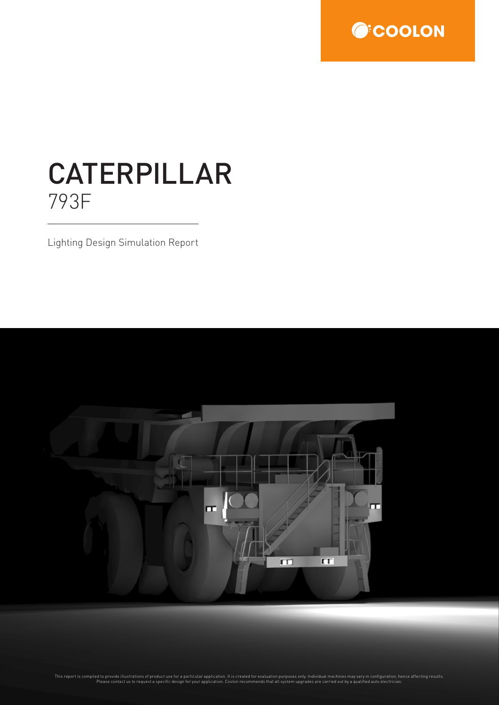

# CATERPILLAR 793F

Lighting Design Simulation Report

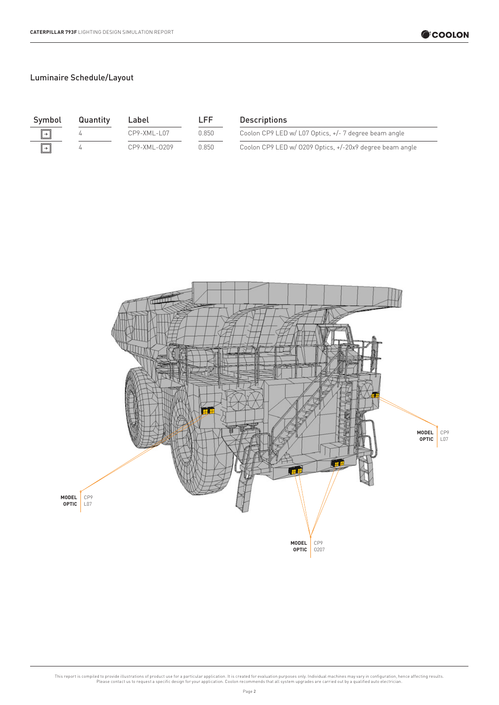| Symbol                | Quantity | Label          | LFF.   | <b>Descriptions</b>                                      |
|-----------------------|----------|----------------|--------|----------------------------------------------------------|
| $\boxed{\rightarrow}$ |          | $CP9-XML-1.07$ | 0.850  | Coolon CP9 LED w/ L07 Optics, +/- 7 degree beam angle    |
| ∥→∥                   |          | CP9-XML-0209   | 0.850. | Coolon CP9 LED w/ 0209 Optics, +/-20x9 degree beam angle |

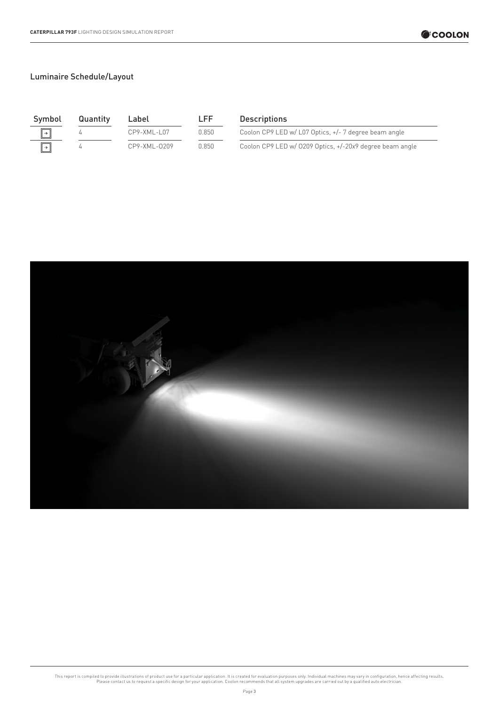| Symbol        | Quantity | Label        | LFF   | <b>Descriptions</b>                                      |
|---------------|----------|--------------|-------|----------------------------------------------------------|
| $\parallel +$ |          | CP9-XML-L07  | 0.850 | Coolon CP9 LED w/ L07 Optics, +/- 7 degree beam angle    |
| ∣→            |          | CP9-XML-0209 | 0.850 | Coolon CP9 LED w/ 0209 Optics, +/-20x9 degree beam angle |

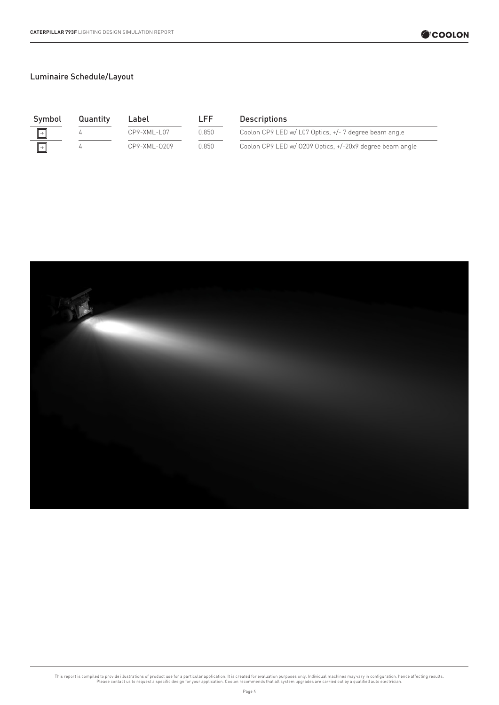| Symbol                | Quantity | Label             | r FF. | <b>Descriptions</b>                                      |
|-----------------------|----------|-------------------|-------|----------------------------------------------------------|
| $\boxed{\rightarrow}$ |          | $CP9 - XML - L07$ | 0.850 | Coolon CP9 LED w/ L07 Optics, +/- 7 degree beam angle    |
| →                     |          | CP9-XML-0209      | 0.850 | Coolon CP9 LED w/ 0209 Optics, +/-20x9 degree beam angle |

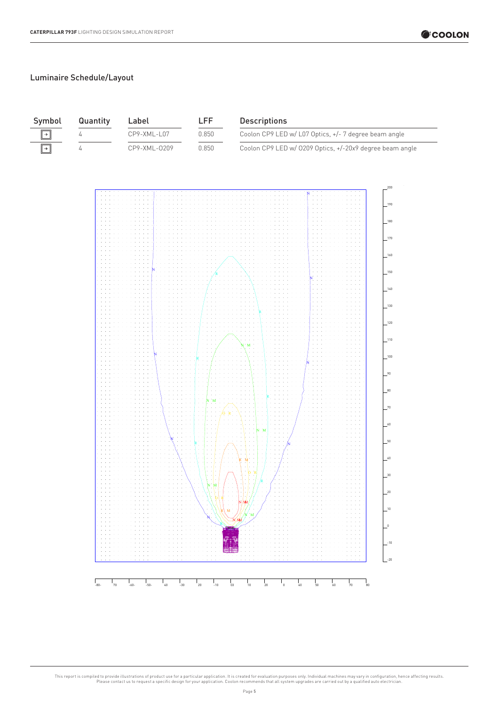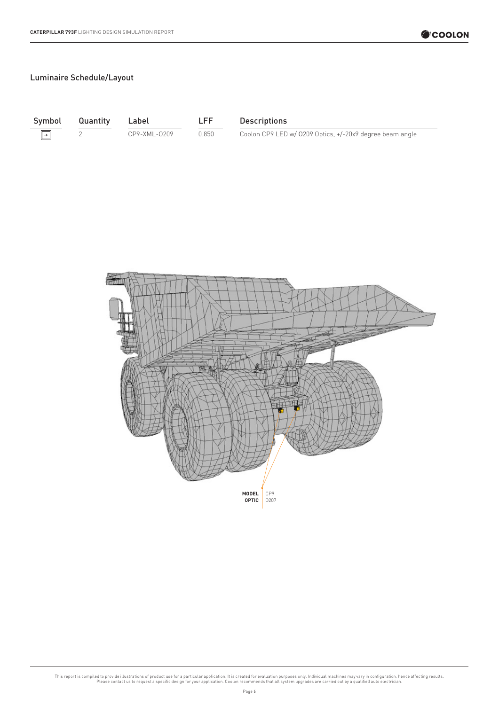$\boxed{\rightarrow}$ 

Symbol Quantity Label LFF Descriptions

2 CP9-XML-0209 0.850 Coolon CP9 LED w/ 0209 Optics, +/-20x9 degree beam angle

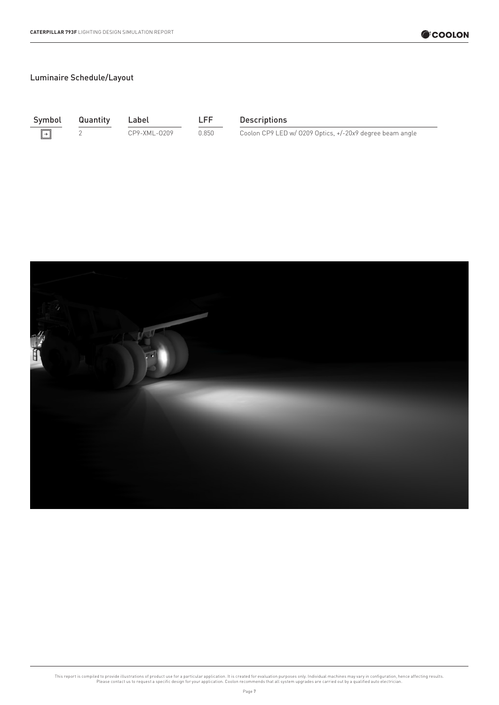$\boxed{\rightarrow}$ 

Symbol Quantity Label LFF Descriptions

2 CP9-XML-0209 0.850 Coolon CP9 LED w/ 0209 Optics, +/-20x9 degree beam angle